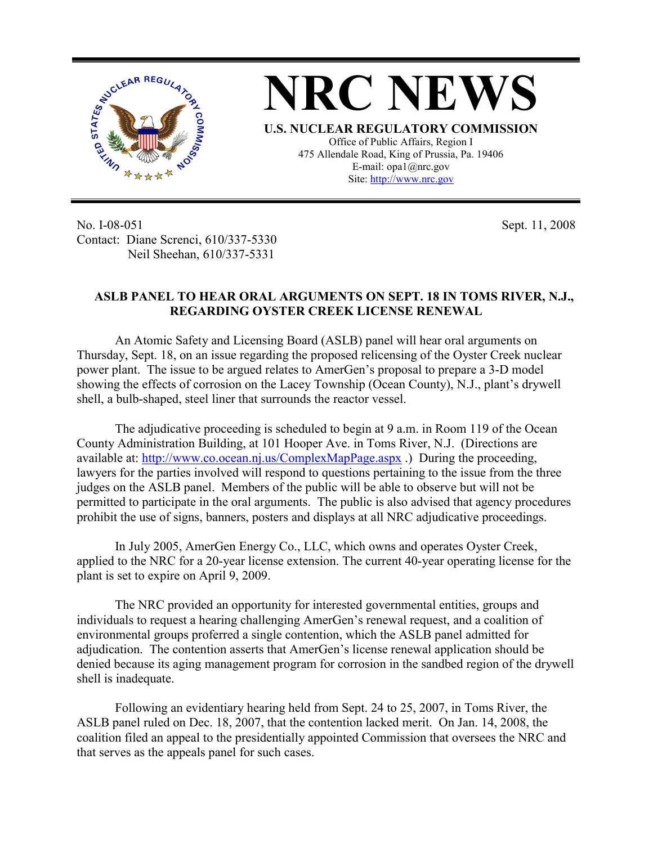

No. I-08-051 Contact: Diane Screnci, 610/337-5330 Neil Sheehan, 610/337-5331

Sept. 11, 2008

## **ASLB PANEL TO HEAR ORAL ARGUMENTS ON SEPT. 18 IN TOMS RIVER, N.J., REGARDING OYSTER CREEK LICENSE RENEWAL**

An Atomic Safety and Licensing Board (ASLB) panel will hear oral arguments on Thursday, Sept. 18, on an issue regarding the proposed relicensing of the Oyster Creek nuclear power plant. The issue to be argued relates to AmerGen's proposal to prepare a 3-D model showing the effects of corrosion on the Lacey Township (Ocean County), N.J., plant's drywell shell, a bulb-shaped, steel liner that surrounds the reactor vessel.

The adjudicative proceeding is scheduled to begin at 9 a.m. in Room 119 of the Ocean County Administration Building, at 101 Hooper Ave. in Toms River, N.J. (Directions are available at: http://www.co.ocean.nj.us/ComplexMapPage.aspx .) During the proceeding, lawyers for the parties involved will respond to questions pertaining to the issue from the three judges on the ASLB panel. Members of the public will be able to observe but will not be permitted to participate in the oral arguments. The public is also advised that agency procedures prohibit the use of signs, banners, posters and displays at all NRC adjudicative proceedings.

In July 2005, AmerGen Energy Co., LLC, which owns and operates Oyster Creek, applied to the NRC for a 20-year license extension. The current 40-year operating license for the plant is set to expire on April 9, 2009.

The NRC provided an opportunity for interested governmental entities, groups and individuals to request a hearing challenging AmerGen's renewal request, and a coalition of environmental groups proferred a single contention, which the ASLB panel admitted for adjudication. The contention asserts that AmerGen's license renewal application should be denied because its aging management program for corrosion in the sandbed region of the drywell shell is inadequate.

Following an evidentiary hearing held from Sept. 24 to 25, 2007, in Toms River, the ASLB panel ruled on Dec. 18, 2007, that the contention lacked merit. On Jan. 14, 2008, the coalition filed an appeal to the presidentially appointed Commission that oversees the NRC and that serves as the appeals panel for such cases.